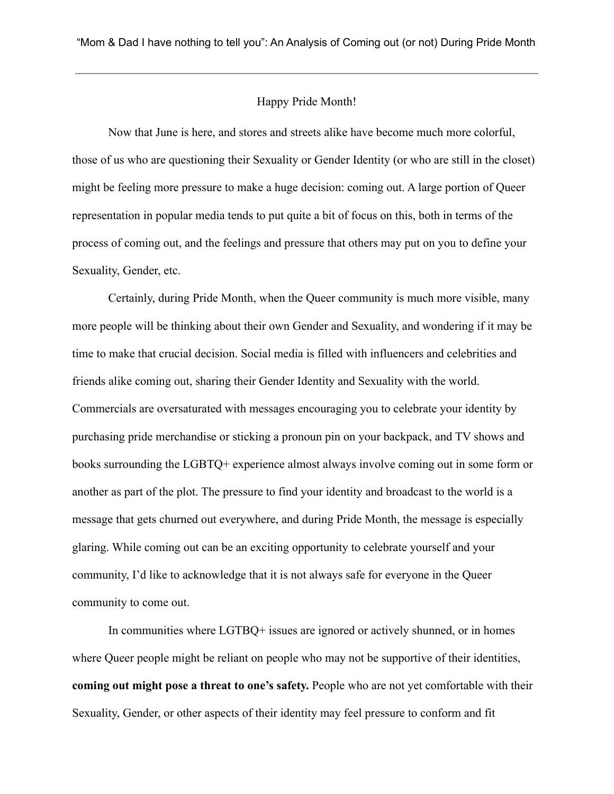## Happy Pride Month!

Now that June is here, and stores and streets alike have become much more colorful, those of us who are questioning their Sexuality or Gender Identity (or who are still in the closet) might be feeling more pressure to make a huge decision: coming out. A large portion of Queer representation in popular media tends to put quite a bit of focus on this, both in terms of the process of coming out, and the feelings and pressure that others may put on you to define your Sexuality, Gender, etc.

Certainly, during Pride Month, when the Queer community is much more visible, many more people will be thinking about their own Gender and Sexuality, and wondering if it may be time to make that crucial decision. Social media is filled with influencers and celebrities and friends alike coming out, sharing their Gender Identity and Sexuality with the world. Commercials are oversaturated with messages encouraging you to celebrate your identity by purchasing pride merchandise or sticking a pronoun pin on your backpack, and TV shows and books surrounding the LGBTQ+ experience almost always involve coming out in some form or another as part of the plot. The pressure to find your identity and broadcast to the world is a message that gets churned out everywhere, and during Pride Month, the message is especially glaring. While coming out can be an exciting opportunity to celebrate yourself and your community, I'd like to acknowledge that it is not always safe for everyone in the Queer community to come out.

In communities where LGTBQ+ issues are ignored or actively shunned, or in homes where Queer people might be reliant on people who may not be supportive of their identities, **coming out might pose a threat to one's safety.** People who are not yet comfortable with their Sexuality, Gender, or other aspects of their identity may feel pressure to conform and fit